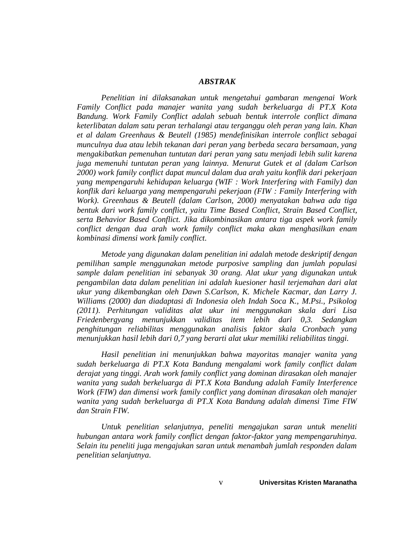#### *ABSTRAK*

*Penelitian ini dilaksanakan untuk mengetahui gambaran mengenai Work Family Conflict pada manajer wanita yang sudah berkeluarga di PT.X Kota Bandung. Work Family Conflict adalah sebuah bentuk interrole conflict dimana keterlibatan dalam satu peran terhalangi atau terganggu oleh peran yang lain. Khan et al dalam Greenhaus & Beutell (1985) mendefinisikan interrole conflict sebagai munculnya dua atau lebih tekanan dari peran yang berbeda secara bersamaan, yang mengakibatkan pemenuhan tuntutan dari peran yang satu menjadi lebih sulit karena juga memenuhi tuntutan peran yang lainnya. Menurut Gutek et al (dalam Carlson 2000) work family conflict dapat muncul dalam dua arah yaitu konflik dari pekerjaan yang mempengaruhi kehidupan keluarga (WIF : Work Interfering with Family) dan konflik dari keluarga yang mempengaruhi pekerjaan (FIW : Family Interfering with Work). Greenhaus & Beutell (dalam Carlson, 2000) menyatakan bahwa ada tiga bentuk dari work family conflict, yaitu Time Based Conflict, Strain Based Conflict, serta Behavior Based Conflict. Jika dikombinasikan antara tiga aspek work family conflict dengan dua arah work family conflict maka akan menghasilkan enam kombinasi dimensi work family conflict.*

*Metode yang digunakan dalam penelitian ini adalah metode deskriptif dengan pemilihan sample menggunakan metode purposive sampling dan jumlah populasi sample dalam penelitian ini sebanyak 30 orang. Alat ukur yang digunakan untuk pengambilan data dalam penelitian ini adalah kuesioner hasil terjemahan dari alat ukur yang dikembangkan oleh Dawn S.Carlson, K. Michele Kacmar, dan Larry J. Williams (2000) dan diadaptasi di Indonesia oleh Indah Soca K., M.Psi., Psikolog (2011). Perhitungan validitas alat ukur ini menggunakan skala dari Lisa Friedenbergyang menunjukkan validitas item lebih dari 0,3. Sedangkan penghitungan reliabilitas menggunakan analisis faktor skala Cronbach yang menunjukkan hasil lebih dari 0,7 yang berarti alat ukur memiliki reliabilitas tinggi.*

*Hasil penelitian ini menunjukkan bahwa mayoritas manajer wanita yang sudah berkeluarga di PT.X Kota Bandung mengalami work family conflict dalam derajat yang tinggi. Arah work family conflict yang dominan dirasakan oleh manajer wanita yang sudah berkeluarga di PT.X Kota Bandung adalah Family Interference Work (FIW) dan dimensi work family conflict yang dominan dirasakan oleh manajer wanita yang sudah berkeluarga di PT.X Kota Bandung adalah dimensi Time FIW dan Strain FIW.*

*Untuk penelitian selanjutnya, peneliti mengajukan saran untuk meneliti hubungan antara work family conflict dengan faktor-faktor yang mempengaruhinya. Selain itu peneliti juga mengajukan saran untuk menambah jumlah responden dalam penelitian selanjutnya.*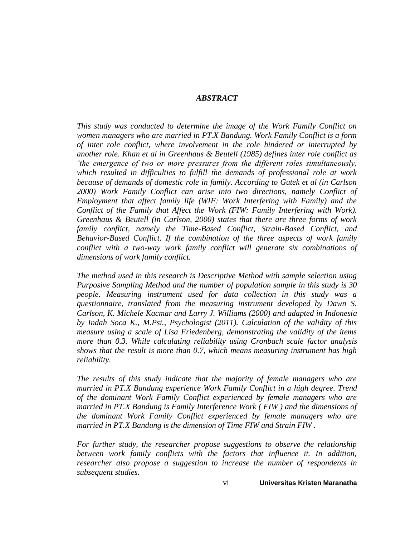#### *ABSTRACT*

*This study was conducted to determine the image of the Work Family Conflict on women managers who are married in PT.X Bandung. Work Family Conflict is a form of inter role conflict, where involvement in the role hindered or interrupted by another role. Khan et al in Greenhaus & Beutell (1985) defines inter role conflict as 'the emergence of two or more pressures from the different roles simultaneously, which resulted in difficulties to fulfill the demands of professional role at work because of demands of domestic role in family. According to Gutek et al (in Carlson 2000) Work Family Conflict can arise into two directions, namely Conflict of Employment that affect family life (WIF: Work Interfering with Family) and the Conflict of the Family that Affect the Work (FIW: Family Interfering with Work). Greenhaus & Beutell (in Carlson, 2000) states that there are three forms of work family conflict, namely the Time-Based Conflict, Strain-Based Conflict, and Behavior-Based Conflict. If the combination of the three aspects of work family conflict with a two-way work family conflict will generate six combinations of dimensions of work family conflict.*

*The method used in this research is Descriptive Method with sample selection using Purposive Sampling Method and the number of population sample in this study is 30 people. Measuring instrument used for data collection in this study was a questionnaire, translated from the measuring instrument developed by Dawn S. Carlson, K. Michele Kacmar and Larry J. Williams (2000) and adapted in Indonesia by Indah Soca K., M.Psi., Psychologist (2011). Calculation of the validity of this measure using a scale of Lisa Friedenberg, demonstrating the validity of the items more than 0.3. While calculating reliability using Cronbach scale factor analysis shows that the result is more than 0.7, which means measuring instrument has high reliability.*

*The results of this study indicate that the majority of female managers who are married in PT.X Bandung experience Work Family Conflict in a high degree. Trend of the dominant Work Family Conflict experienced by female managers who are married in PT.X Bandung is Family Interference Work ( FIW ) and the dimensions of the dominant Work Family Conflict experienced by female managers who are married in PT.X Bandung is the dimension of Time FIW and Strain FIW .*

*For further study, the researcher propose suggestions to observe the relationship between work family conflicts with the factors that influence it. In addition, researcher also propose a suggestion to increase the number of respondents in subsequent studies.*

vi **Universitas Kristen Maranatha**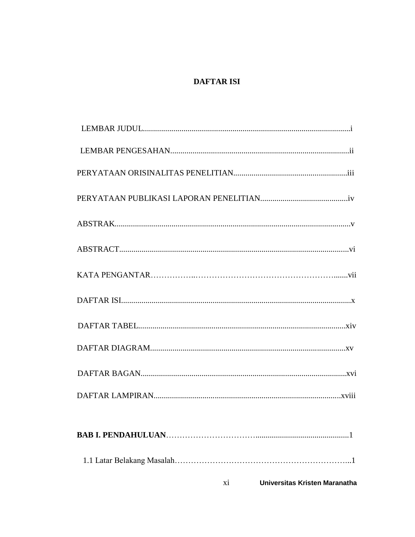# **DAFTAR ISI**

| xi | Universitas Kristen Maranatha |
|----|-------------------------------|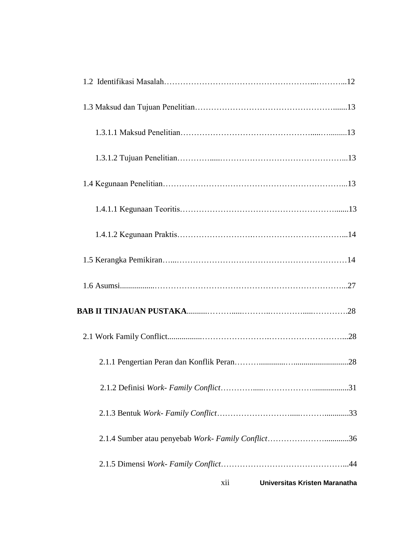| xii<br>Universitas Kristen Maranatha |  |
|--------------------------------------|--|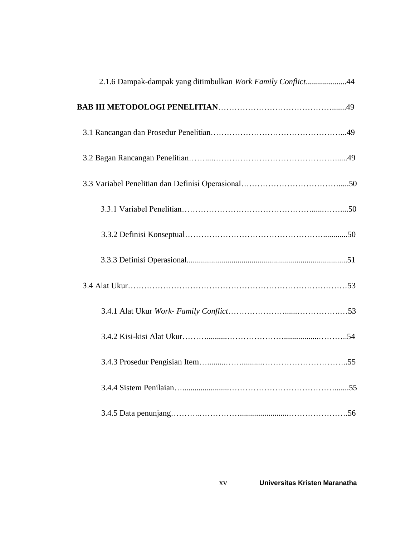| 2.1.6 Dampak-dampak yang ditimbulkan Work Family Conflict44 |  |
|-------------------------------------------------------------|--|
|                                                             |  |
|                                                             |  |
|                                                             |  |
|                                                             |  |
|                                                             |  |
|                                                             |  |
|                                                             |  |
|                                                             |  |
|                                                             |  |
|                                                             |  |
|                                                             |  |
|                                                             |  |
|                                                             |  |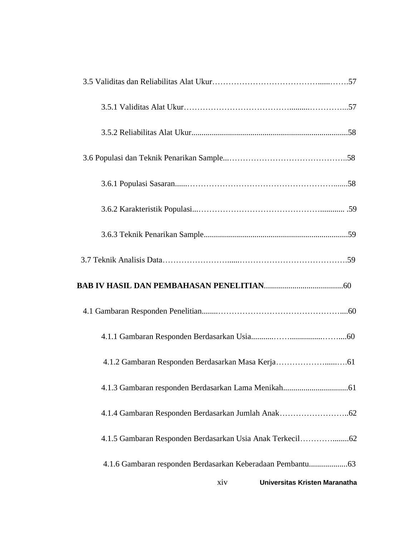| 4.1.6 Gambaran responden Berdasarkan Keberadaan Pembantu63 |  |
|------------------------------------------------------------|--|
| Universitas Kristen Maranatha<br>xiv                       |  |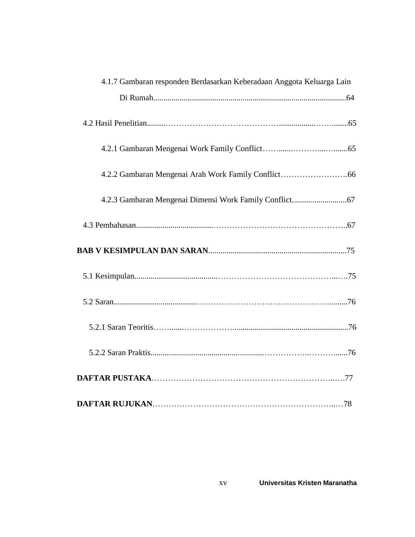| 4.1.7 Gambaran responden Berdasarkan Keberadaan Anggota Keluarga Lain |  |
|-----------------------------------------------------------------------|--|
|                                                                       |  |
|                                                                       |  |
|                                                                       |  |
|                                                                       |  |
|                                                                       |  |
|                                                                       |  |
|                                                                       |  |
|                                                                       |  |
|                                                                       |  |
|                                                                       |  |
|                                                                       |  |
|                                                                       |  |
|                                                                       |  |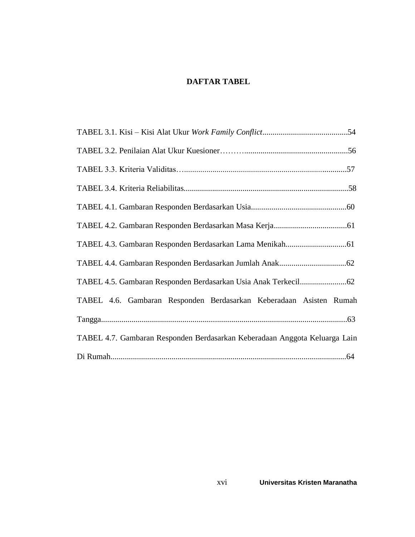## **DAFTAR TABEL**

| TABEL 4.6. Gambaran Responden Berdasarkan Keberadaan Asisten Rumah         |
|----------------------------------------------------------------------------|
|                                                                            |
| TABEL 4.7. Gambaran Responden Berdasarkan Keberadaan Anggota Keluarga Lain |
|                                                                            |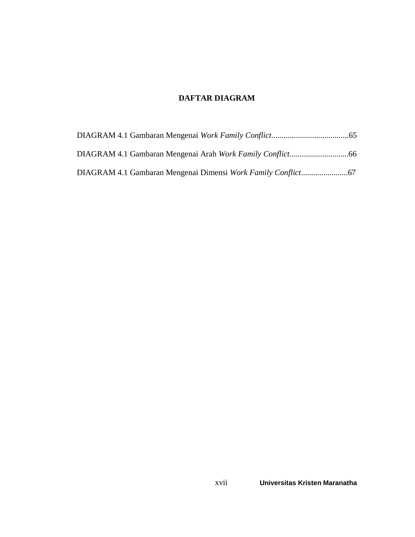### **DAFTAR DIAGRAM**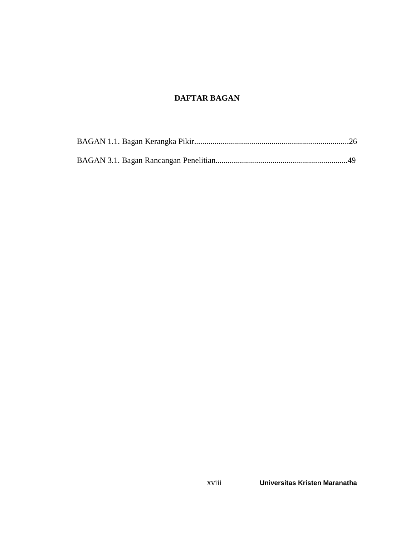# **DAFTAR BAGAN**